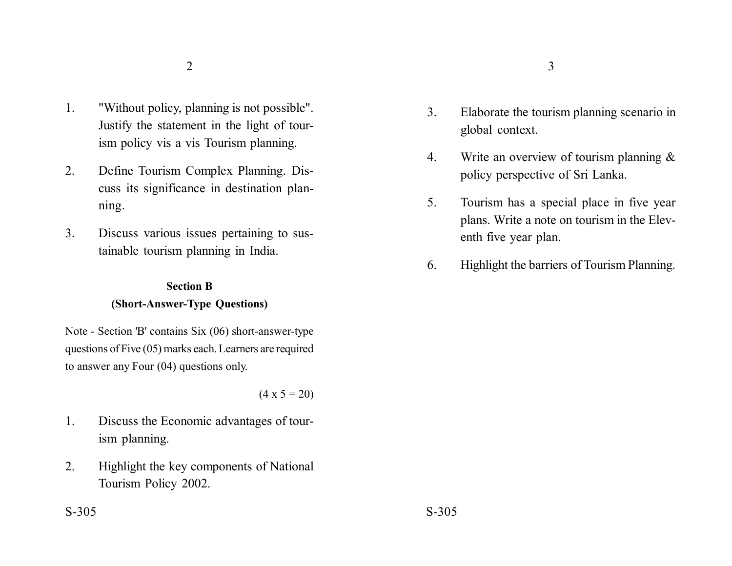- 1. "Without policy, planning is not possible". Justify the statement in the light of tourism policy vis a vis Tourism planning.
- 2. Define Tourism Complex Planning. Discuss its significance in destination planning.
- 3. Discuss various issues pertaining to sustainable tourism planning in India.

## **Section B (Short-Answer-Type Questions)**

Note - Section 'B' contains Six (06) short-answer-type questions of Five (05) marks each. Learners are required to answer any Four (04) questions only.

 $(4 \times 5 = 20)$ 

- 1. Discuss the Economic advantages of tourism planning.
- 2. Highlight the key components of National Tourism Policy 2002.
- 
- 3. Elaborate the tourism planning scenario in global context.
- 4. Write an overview of tourism planning & policy perspective of Sri Lanka.
- 5. Tourism has a special place in five year plans. Write a note on tourism in the Eleventh five year plan.
- 6. Highlight the barriers of Tourism Planning.